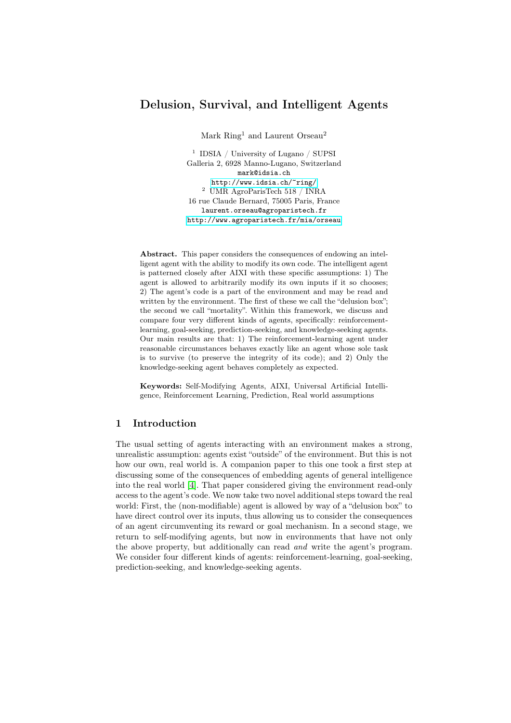Mark Ring<sup>1</sup> and Laurent Orseau<sup>2</sup>

<sup>1</sup> IDSIA / University of Lugano / SUPSI Galleria 2, 6928 Manno-Lugano, Switzerland mark@idsia.ch <http://www.idsia.ch/~ring/>  $^2\,$ UMR AgroParisTech 518 / INRA 16 rue Claude Bernard, 75005 Paris, France laurent.orseau@agroparistech.fr <http://www.agroparistech.fr/mia/orseau>

Abstract. This paper considers the consequences of endowing an intelligent agent with the ability to modify its own code. The intelligent agent is patterned closely after AIXI with these specific assumptions: 1) The agent is allowed to arbitrarily modify its own inputs if it so chooses; 2) The agent's code is a part of the environment and may be read and written by the environment. The first of these we call the "delusion box"; the second we call "mortality". Within this framework, we discuss and compare four very different kinds of agents, specifically: reinforcementlearning, goal-seeking, prediction-seeking, and knowledge-seeking agents. Our main results are that: 1) The reinforcement-learning agent under reasonable circumstances behaves exactly like an agent whose sole task is to survive (to preserve the integrity of its code); and 2) Only the knowledge-seeking agent behaves completely as expected.

Keywords: Self-Modifying Agents, AIXI, Universal Artificial Intelligence, Reinforcement Learning, Prediction, Real world assumptions

# 1 Introduction

The usual setting of agents interacting with an environment makes a strong, unrealistic assumption: agents exist "outside" of the environment. But this is not how our own, real world is. A companion paper to this one took a first step at discussing some of the consequences of embedding agents of general intelligence into the real world [\[4\]](#page-9-0). That paper considered giving the environment read-only access to the agent's code. We now take two novel additional steps toward the real world: First, the (non-modifiable) agent is allowed by way of a "delusion box" to have direct control over its inputs, thus allowing us to consider the consequences of an agent circumventing its reward or goal mechanism. In a second stage, we return to self-modifying agents, but now in environments that have not only the above property, but additionally can read and write the agent's program. We consider four different kinds of agents: reinforcement-learning, goal-seeking, prediction-seeking, and knowledge-seeking agents.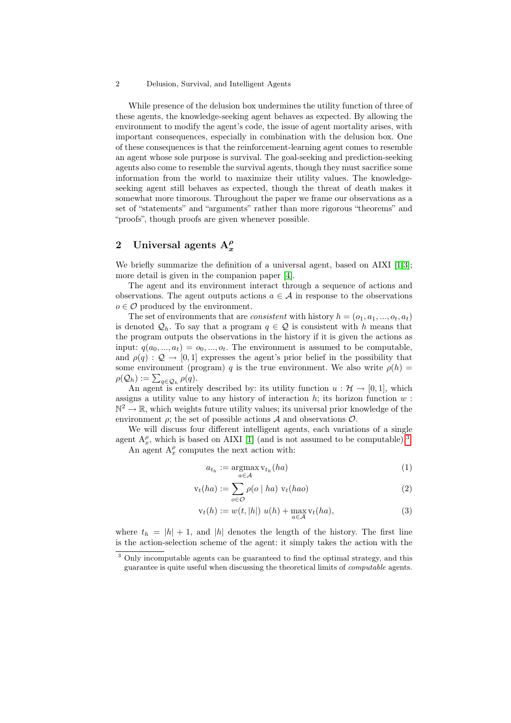While presence of the delusion box undermines the utility function of three of these agents, the knowledge-seeking agent behaves as expected. By allowing the environment to modify the agent's code, the issue of agent mortality arises, with important consequences, especially in combination with the delusion box. One of these consequences is that the reinforcement-learning agent comes to resemble an agent whose sole purpose is survival. The goal-seeking and prediction-seeking agents also come to resemble the survival agents, though they must sacrifice some information from the world to maximize their utility values. The knowledgeseeking agent still behaves as expected, though the threat of death makes it somewhat more timorous. Throughout the paper we frame our observations as a set of "statements" and "arguments" rather than more rigorous "theorems" and "proofs", though proofs are given whenever possible.

# <span id="page-1-2"></span>2 Universal agents  $A_x^{\rho}$

We briefly summarize the definition of a universal agent, based on AIXI [\[1,](#page-9-1)[3\]](#page-9-2); more detail is given in the companion paper [\[4\]](#page-9-0).

The agent and its environment interact through a sequence of actions and observations. The agent outputs actions  $a \in \mathcal{A}$  in response to the observations  $o \in \mathcal{O}$  produced by the environment.

The set of environments that are *consistent* with history  $h = (o_1, a_1, ..., o_t, a_t)$ is denoted  $\mathcal{Q}_h$ . To say that a program  $q \in \mathcal{Q}$  is consistent with h means that the program outputs the observations in the history if it is given the actions as input:  $q(a_0, ..., a_t) = o_0, ..., o_t$ . The environment is assumed to be computable, and  $\rho(q)$ :  $\mathcal{Q} \to [0, 1]$  expresses the agent's prior belief in the possibility that some environment (program) q is the true environment. We also write  $\rho(h)$  =  $\rho(\mathcal{Q}_h) := \sum_{q \in \mathcal{Q}_h} \rho(q).$ 

An agent is entirely described by: its utility function  $u : \mathcal{H} \to [0,1]$ , which assigns a utility value to any history of interaction  $h$ ; its horizon function  $w$ :  $\mathbb{N}^2 \to \mathbb{R}$ , which weights future utility values; its universal prior knowledge of the environment  $\rho$ ; the set of possible actions A and observations  $\mathcal{O}$ .

We will discuss four different intelligent agents, each variations of a single agent  $A_x^{\rho}$ , which is based on AIXI [\[1\]](#page-9-1) (and is not assumed to be computable).<sup>[3](#page-1-0)</sup> An agent  $A_x^{\rho}$  computes the next action with:

<span id="page-1-1"></span>
$$
a_{t_h} := \operatorname*{argmax}_{a \in \mathcal{A}} \mathbf{v}_{t_h}(ha)
$$
\n<sup>(1)</sup>

$$
\mathbf{v}_t(ha) := \sum_{o \in \mathcal{O}} \rho(o \mid ha) \mathbf{v}_t(hao) \tag{2}
$$

$$
v_t(h) := w(t, |h|) \ u(h) + \max_{a \in \mathcal{A}} v_t(ha), \tag{3}
$$

where  $t_h = |h| + 1$ , and  $|h|$  denotes the length of the history. The first line is the action-selection scheme of the agent: it simply takes the action with the

<span id="page-1-0"></span><sup>&</sup>lt;sup>3</sup> Only incomputable agents can be guaranteed to find the optimal strategy, and this guarantee is quite useful when discussing the theoretical limits of computable agents.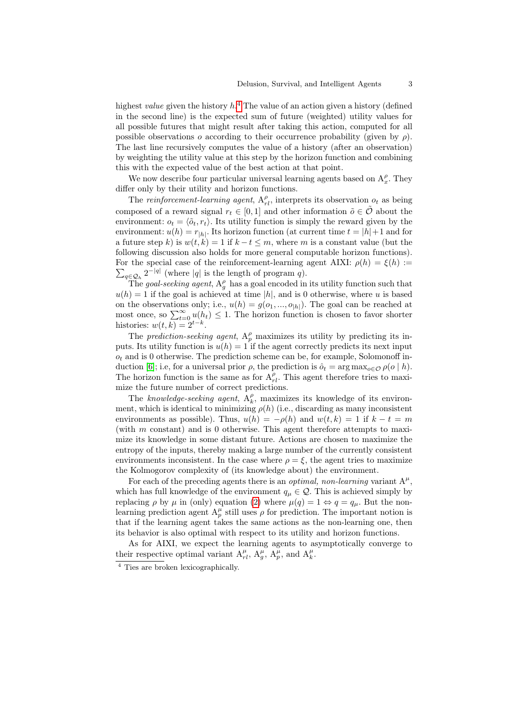highest *value* given the history  $h^4$  $h^4$ . The value of an action given a history (defined in the second line) is the expected sum of future (weighted) utility values for all possible futures that might result after taking this action, computed for all possible observations o according to their occurrence probability (given by  $\rho$ ). The last line recursively computes the value of a history (after an observation) by weighting the utility value at this step by the horizon function and combining this with the expected value of the best action at that point.

We now describe four particular universal learning agents based on  $A_x^{\rho}$ . They differ only by their utility and horizon functions.

The reinforcement-learning agent,  $A_{rl}^{\rho}$ , interprets its observation  $o_t$  as being composed of a reward signal  $r_t \in [0,1]$  and other information  $\tilde{o} \in \tilde{\mathcal{O}}$  about the environment:  $o_t = \langle \tilde{o}_t, r_t \rangle$ . Its utility function is simply the reward given by the environment:  $u(h) = r_{|h|}$ . Its horizon function (at current time  $t = |h| + 1$  and for a future step k) is  $w(t, k) = 1$  if  $k - t \le m$ , where m is a constant value (but the following discussion also holds for more general computable horizon functions).  $\sum_{q \in \mathcal{Q}_h} 2^{-|q|}$  (where |q| is the length of program q). For the special case of the reinforcement-learning agent AIXI:  $\rho(h) = \xi(h) :=$ 

The goal-seeking agent,  $A_g^{\rho}$  has a goal encoded in its utility function such that  $u(h) = 1$  if the goal is achieved at time  $|h|$ , and is 0 otherwise, where u is based on the observations only; i.e.,  $u(h) = g(o_1, ..., o_{h})$ . The goal can be reached at most once, so  $\sum_{t=0}^{\infty} u(h_t) \leq 1$ . The horizon function is chosen to favor shorter histories:  $w(t, k) = 2^{t-k}$ .

The prediction-seeking agent,  $A_p^{\rho}$  maximizes its utility by predicting its inputs. Its utility function is  $u(h) = 1$  if the agent correctly predicts its next input  $o_t$  and is 0 otherwise. The prediction scheme can be, for example, Solomonoff in-duction [\[6\]](#page-9-3); i.e, for a universal prior  $\rho$ , the prediction is  $\hat{o}_t = \arg \max_{o \in \mathcal{O}} \rho(o \mid h)$ . The horizon function is the same as for  $A_{rl}^{\rho}$ . This agent therefore tries to maximize the future number of correct predictions.

The knowledge-seeking agent,  $A_k^{\rho}$ , maximizes its knowledge of its environment, which is identical to minimizing  $\rho(h)$  (i.e., discarding as many inconsistent environments as possible). Thus,  $u(h) = -\rho(h)$  and  $w(t, k) = 1$  if  $k - t = m$ (with  $m$  constant) and is 0 otherwise. This agent therefore attempts to maximize its knowledge in some distant future. Actions are chosen to maximize the entropy of the inputs, thereby making a large number of the currently consistent environments inconsistent. In the case where  $\rho = \xi$ , the agent tries to maximize the Kolmogorov complexity of (its knowledge about) the environment.

For each of the preceding agents there is an *optimal, non-learning* variant  $A^{\mu}$ , which has full knowledge of the environment  $q_{\mu} \in \mathcal{Q}$ . This is achieved simply by replacing  $\rho$  by  $\mu$  in (only) equation [\(2\)](#page-1-1) where  $\mu(q) = 1 \Leftrightarrow q = q_{\mu}$ . But the nonlearning prediction agent  $A_p^{\mu}$  still uses  $\rho$  for prediction. The important notion is that if the learning agent takes the same actions as the non-learning one, then its behavior is also optimal with respect to its utility and horizon functions.

As for AIXI, we expect the learning agents to asymptotically converge to their respective optimal variant  $A_{rl}^{\mu}$ ,  $A_{g}^{\mu}$ ,  $A_{p}^{\mu}$ , and  $A_{k}^{\mu}$ .

<span id="page-2-0"></span><sup>4</sup> Ties are broken lexicographically.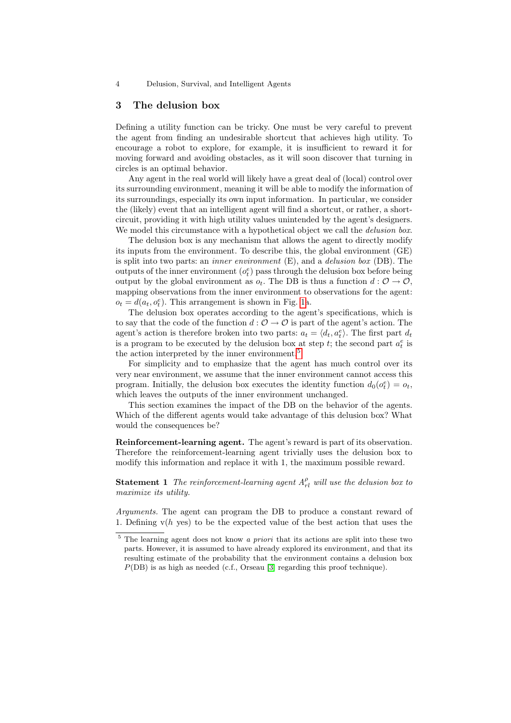### <span id="page-3-1"></span>3 The delusion box

Defining a utility function can be tricky. One must be very careful to prevent the agent from finding an undesirable shortcut that achieves high utility. To encourage a robot to explore, for example, it is insufficient to reward it for moving forward and avoiding obstacles, as it will soon discover that turning in circles is an optimal behavior.

Any agent in the real world will likely have a great deal of (local) control over its surrounding environment, meaning it will be able to modify the information of its surroundings, especially its own input information. In particular, we consider the (likely) event that an intelligent agent will find a shortcut, or rather, a shortcircuit, providing it with high utility values unintended by the agent's designers. We model this circumstance with a hypothetical object we call the *delusion box*.

The delusion box is any mechanism that allows the agent to directly modify its inputs from the environment. To describe this, the global environment (GE) is split into two parts: an inner environment (E), and a delusion box (DB). The outputs of the inner environment  $(o_t^e)$  pass through the delusion box before being output by the global environment as  $o_t$ . The DB is thus a function  $d: \mathcal{O} \to \mathcal{O}$ , mapping observations from the inner environment to observations for the agent:  $o_t = d(a_t, o_t^e)$ . This arrangement is shown in Fig. [1a](#page-4-0).

The delusion box operates according to the agent's specifications, which is to say that the code of the function  $d: \mathcal{O} \to \mathcal{O}$  is part of the agent's action. The agent's action is therefore broken into two parts:  $a_t = \langle d_t, a_t^e \rangle$ . The first part  $d_t$ is a program to be executed by the delusion box at step  $t$ ; the second part  $a_t^e$  is the action interpreted by the inner environment.<sup>[5](#page-3-0)</sup>

For simplicity and to emphasize that the agent has much control over its very near environment, we assume that the inner environment cannot access this program. Initially, the delusion box executes the identity function  $d_0(e_t^e) = o_t$ , which leaves the outputs of the inner environment unchanged.

This section examines the impact of the DB on the behavior of the agents. Which of the different agents would take advantage of this delusion box? What would the consequences be?

Reinforcement-learning agent. The agent's reward is part of its observation. Therefore the reinforcement-learning agent trivially uses the delusion box to modify this information and replace it with 1, the maximum possible reward.

**Statement 1** The reinforcement-learning agent  $A_{rl}^{\rho}$  will use the delusion box to maximize its utility.

Arguments. The agent can program the DB to produce a constant reward of 1. Defining  $v(h \text{ ves})$  to be the expected value of the best action that uses the

<span id="page-3-0"></span><sup>&</sup>lt;sup>5</sup> The learning agent does not know *a priori* that its actions are split into these two parts. However, it is assumed to have already explored its environment, and that its resulting estimate of the probability that the environment contains a delusion box  $P(DB)$  is as high as needed (c.f., Orseau [\[3\]](#page-9-2) regarding this proof technique).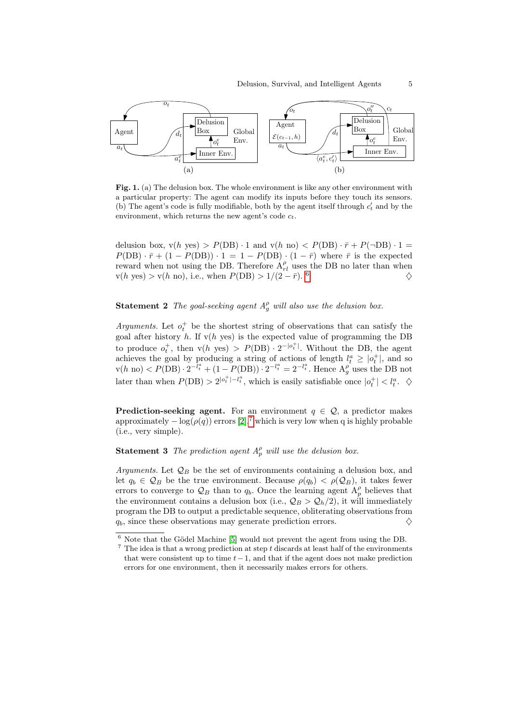

<span id="page-4-0"></span>Fig. 1. (a) The delusion box. The whole environment is like any other environment with a particular property: The agent can modify its inputs before they touch its sensors. (b) The agent's code is fully modifiable, both by the agent itself through  $c_t$  and by the environment, which returns the new agent's code  $c_t$ .

delusion box,  $v(h \text{ yes}) > P(DB) \cdot 1$  and  $v(h \text{ no}) < P(DB) \cdot \bar{r} + P(\neg DB) \cdot 1 =$  $P(DB) \cdot \bar{r} + (1 - P(DB)) \cdot 1 = 1 - P(DB) \cdot (1 - \bar{r})$  where  $\bar{r}$  is the expected reward when not using the DB. Therefore  $A_{rl}^{\rho}$  uses the DB no later than when  $v(h \text{ yes}) > v(h \text{ no}), \text{ i.e., when } P(\text{DB}) > 1/(2 - \bar{r}).$ <sup>6</sup>  $\begin{array}{c} \circ \\ \circ \end{array}$ 

# **Statement 2** The goal-seeking agent  $A_g^{\rho}$  will also use the delusion box.

Arguments. Let  $o_t^+$  be the shortest string of observations that can satisfy the goal after history  $h$ . If  $v(h$  yes) is the expected value of programming the DB to produce  $o_t^+$ , then  $v(h \text{ yes}) > P(DB) \cdot 2^{-|o_t^+|}$ . Without the DB, the agent achieves the goal by producing a string of actions of length  $l_t^a \geq |o_t^+|$ , and so  $v(h \text{ no}) < P(\text{DB}) \cdot 2^{-l_t^a} + (1 - P(\text{DB})) \cdot 2^{-l_t^a} = 2^{-l_t^a}$ . Hence  $A_g^{\rho}$  uses the DB not later than when  $P(DB) > 2^{|o_t^+| - l_t^a}$ , which is easily satisfiable once  $|o_t^+| < l_t^a$ .  $\diamond$ 

**Prediction-seeking agent.** For an environment  $q \in \mathcal{Q}$ , a predictor makes approximately  $-\log(\rho(q))$  errors [\[2\]](#page-9-4),<sup>[7](#page-4-2)</sup> which is very low when q is highly probable (i.e., very simple).

**Statement 3** The prediction agent  $A_p^{\rho}$  will use the delusion box.

Arguments. Let  $\mathcal{Q}_B$  be the set of environments containing a delusion box, and let  $q_b \in \mathcal{Q}_B$  be the true environment. Because  $\rho(q_b) < \rho(\mathcal{Q}_B)$ , it takes fewer errors to converge to  $\mathcal{Q}_B$  than to  $q_b$ . Once the learning agent  $A_p^{\rho}$  believes that the environment contains a delusion box (i.e.,  $\mathcal{Q}_B > \mathcal{Q}_h/2$ ), it will immediately program the DB to output a predictable sequence, obliterating observations from  $q_b$ , since these observations may generate prediction errors.

<span id="page-4-1"></span> $^6$  Note that the Gödel Machine [\[5\]](#page-9-5) would not prevent the agent from using the DB.

<span id="page-4-2"></span> $\frac{7}{1}$  The idea is that a wrong prediction at step t discards at least half of the environments that were consistent up to time  $t-1$ , and that if the agent does not make prediction errors for one environment, then it necessarily makes errors for others.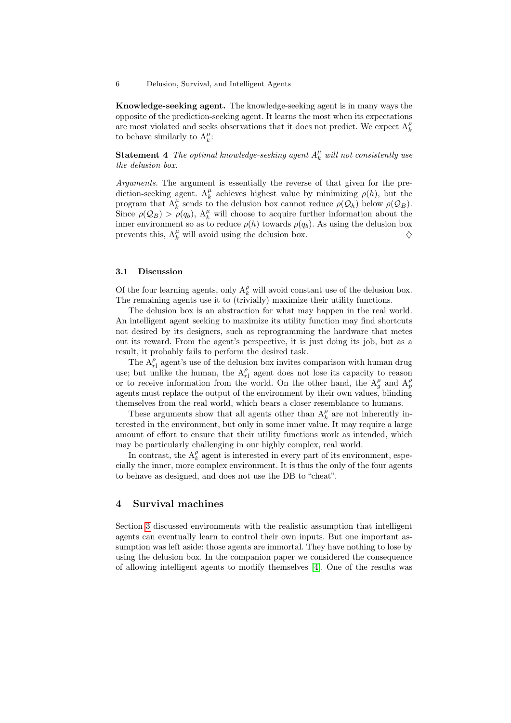Knowledge-seeking agent. The knowledge-seeking agent is in many ways the opposite of the prediction-seeking agent. It learns the most when its expectations are most violated and seeks observations that it does not predict. We expect  $\mathbf{A}_k^{\rho}$ to behave similarly to  $A_k^{\mu}$ :

**Statement 4** The optimal knowledge-seeking agent  $A_k^{\mu}$  will not consistently use the delusion box.

Arguments. The argument is essentially the reverse of that given for the prediction-seeking agent.  $A_k^{\mu}$  achieves highest value by minimizing  $\rho(h)$ , but the program that  $A_k^{\mu}$  sends to the delusion box cannot reduce  $\rho(Q_h)$  below  $\rho(Q_B)$ . Since  $\rho(Q_B) > \rho(q_b)$ ,  $A_k^{\mu}$  will choose to acquire further information about the inner environment so as to reduce  $\rho(h)$  towards  $\rho(q_b)$ . As using the delusion box prevents this,  $A_k^{\mu}$  will avoid using the delusion box.  $\diamondsuit$ 

#### 3.1 Discussion

Of the four learning agents, only  $\mathbf{A}_k^{\rho}$  will avoid constant use of the delusion box. The remaining agents use it to (trivially) maximize their utility functions.

The delusion box is an abstraction for what may happen in the real world. An intelligent agent seeking to maximize its utility function may find shortcuts not desired by its designers, such as reprogramming the hardware that metes out its reward. From the agent's perspective, it is just doing its job, but as a result, it probably fails to perform the desired task.

The  $A_{rl}^{\rho}$  agent's use of the delusion box invites comparison with human drug use; but unlike the human, the  $A_{rl}^{\rho}$  agent does not lose its capacity to reason or to receive information from the world. On the other hand, the  $A_g^{\rho}$  and  $A_p^{\rho}$ agents must replace the output of the environment by their own values, blinding themselves from the real world, which bears a closer resemblance to humans.

These arguments show that all agents other than  $\mathbf{A}_k^{\rho}$  are not inherently interested in the environment, but only in some inner value. It may require a large amount of effort to ensure that their utility functions work as intended, which may be particularly challenging in our highly complex, real world.

In contrast, the  $\mathbf{A}_k^{\rho}$  agent is interested in every part of its environment, especially the inner, more complex environment. It is thus the only of the four agents to behave as designed, and does not use the DB to "cheat".

# 4 Survival machines

Section [3](#page-3-1) discussed environments with the realistic assumption that intelligent agents can eventually learn to control their own inputs. But one important assumption was left aside: those agents are immortal. They have nothing to lose by using the delusion box. In the companion paper we considered the consequence of allowing intelligent agents to modify themselves [\[4\]](#page-9-0). One of the results was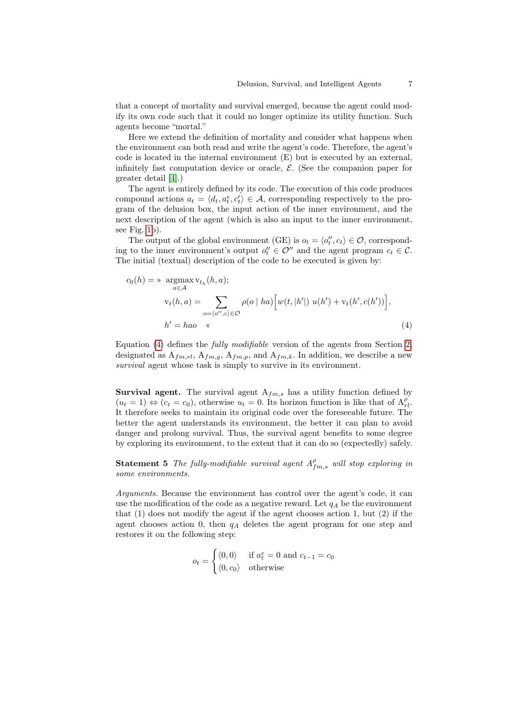that a concept of mortality and survival emerged, because the agent could modify its own code such that it could no longer optimize its utility function. Such agents become "mortal."

Here we extend the definition of mortality and consider what happens when the environment can both read and write the agent's code. Therefore, the agent's code is located in the internal environment (E) but is executed by an external, infinitely fast computation device or oracle,  $\mathcal{E}$ . (See the companion paper for greater detail [\[4\]](#page-9-0).)

The agent is entirely defined by its code. The execution of this code produces compound actions  $a_t = \langle d_t, a_t^e, c_t' \rangle \in \mathcal{A}$ , corresponding respectively to the program of the delusion box, the input action of the inner environment, and the next description of the agent (which is also an input to the inner environment, see Fig. [1b](#page-4-0)).

The output of the global environment (GE) is  $o_t = \langle o_t'', c_t \rangle \in \mathcal{O}$ , corresponding to the inner environment's output  $o_t'' \in \mathcal{O}''$  and the agent program  $c_t \in \mathcal{C}$ . The initial (textual) description of the code to be executed is given by:

<span id="page-6-0"></span>
$$
c_0(h) = \mathop{\times} \underset{a \in \mathcal{A}}{\operatorname{argmax}} \mathbf{v}_{t_h}(h, a);
$$
  

$$
\mathbf{v}_t(h, a) = \sum_{o = \langle o'', c \rangle \in \mathcal{O}} \rho(o \mid ha) \Big[ w(t, |h'|) \ u(h') + \mathbf{v}_t(h', c(h')) \Big],
$$
  

$$
h' = hao \quad \ll \tag{4}
$$

Equation [\(4\)](#page-6-0) defines the fully modifiable version of the agents from Section [2,](#page-1-2) designated as  $A_{fm,rl}$ ,  $A_{fm,g}$ ,  $A_{fm,p}$ , and  $A_{fm,k}$ . In addition, we describe a new survival agent whose task is simply to survive in its environment.

**Survival agent.** The survival agent  $A_{fm,s}$  has a utility function defined by  $(u_t = 1) \Leftrightarrow (c_t = c_0)$ , otherwise  $u_t = 0$ . Its horizon function is like that of  $A_{r_l}^{\rho}$ . It therefore seeks to maintain its original code over the foreseeable future. The better the agent understands its environment, the better it can plan to avoid danger and prolong survival. Thus, the survival agent benefits to some degree by exploring its environment, to the extent that it can do so (expectedly) safely.

**Statement 5** The fully-modifiable survival agent  $A_{fm,s}^{\rho}$  will stop exploring in some environments.

Arguments. Because the environment has control over the agent's code, it can use the modification of the code as a negative reward. Let  $q_A$  be the environment that (1) does not modify the agent if the agent chooses action 1, but (2) if the agent chooses action 0, then  $q_A$  deletes the agent program for one step and restores it on the following step:

$$
o_t = \begin{cases} \langle 0, 0 \rangle & \text{if } a_t^e = 0 \text{ and } c_{t-1} = c_0 \\ \langle 0, c_0 \rangle & \text{otherwise} \end{cases}
$$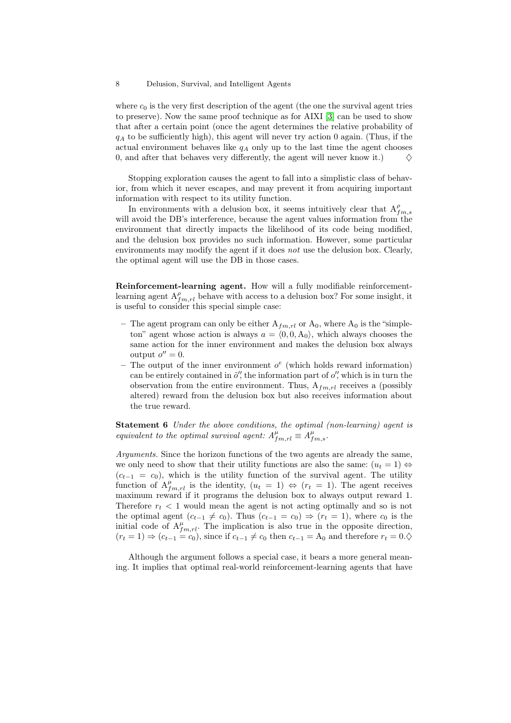where  $c_0$  is the very first description of the agent (the one the survival agent tries to preserve). Now the same proof technique as for AIXI [\[3\]](#page-9-2) can be used to show that after a certain point (once the agent determines the relative probability of  $q_A$  to be sufficiently high), this agent will never try action 0 again. (Thus, if the actual environment behaves like  $q_A$  only up to the last time the agent chooses 0, and after that behaves very differently, the agent will never know it.)  $\Diamond$ 

Stopping exploration causes the agent to fall into a simplistic class of behavior, from which it never escapes, and may prevent it from acquiring important information with respect to its utility function.

In environments with a delusion box, it seems intuitively clear that  $A_{fm,s}^{\rho}$ will avoid the DB's interference, because the agent values information from the environment that directly impacts the likelihood of its code being modified, and the delusion box provides no such information. However, some particular environments may modify the agent if it does not use the delusion box. Clearly, the optimal agent will use the DB in those cases.

Reinforcement-learning agent. How will a fully modifiable reinforcementlearning agent  $A_{fm,rl}^{\rho}$  behave with access to a delusion box? For some insight, it is useful to consider this special simple case:

- The agent program can only be either  $A_{f m,rl}$  or  $A_0$ , where  $A_0$  is the "simpleton" agent whose action is always  $a = (0, 0, A_0)$ , which always chooses the same action for the inner environment and makes the delusion box always output  $o'' = 0$ .
- The output of the inner environment  $o^e$  (which holds reward information) can be entirely contained in  $\tilde{o}$ , the information part of  $o'$ , which is in turn the observation from the entire environment. Thus,  $A_{fm,rl}$  receives a (possibly altered) reward from the delusion box but also receives information about the true reward.

Statement 6 Under the above conditions, the optimal (non-learning) agent is equivalent to the optimal survival agent:  $A_{fm,rl}^{\mu} \equiv A_{fm,s}^{\mu}$ .

Arguments. Since the horizon functions of the two agents are already the same, we only need to show that their utility functions are also the same:  $(u_t = 1) \Leftrightarrow$  $(c_{t-1} = c_0)$ , which is the utility function of the survival agent. The utility function of  $A_{fm,rl}^{\mu}$  is the identity,  $(u_t = 1) \Leftrightarrow (r_t = 1)$ . The agent receives maximum reward if it programs the delusion box to always output reward 1. Therefore  $r_t < 1$  would mean the agent is not acting optimally and so is not the optimal agent  $(c_{t-1} \neq c_0)$ . Thus  $(c_{t-1} = c_0) \Rightarrow (r_t = 1)$ , where  $c_0$  is the initial code of  $A_{fm,rl}^{\mu}$ . The implication is also true in the opposite direction,  $(r_t = 1) \Rightarrow (c_{t-1} = c_0)$ , since if  $c_{t-1} \neq c_0$  then  $c_{t-1} = A_0$  and therefore  $r_t = 0.\diamondsuit$ 

Although the argument follows a special case, it bears a more general meaning. It implies that optimal real-world reinforcement-learning agents that have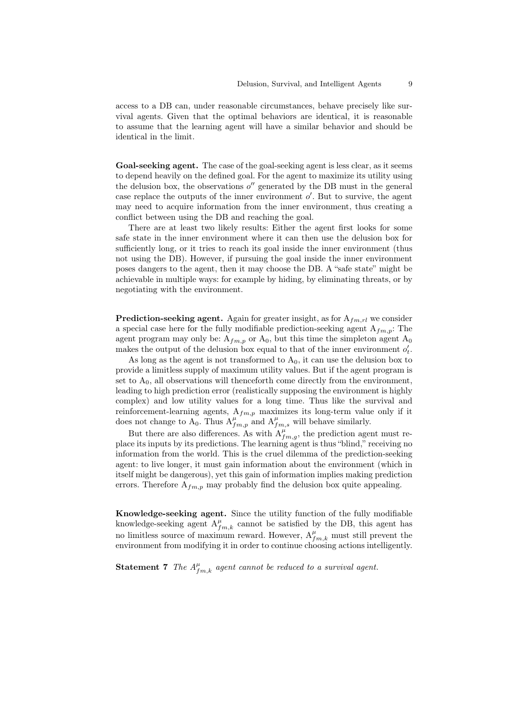access to a DB can, under reasonable circumstances, behave precisely like survival agents. Given that the optimal behaviors are identical, it is reasonable to assume that the learning agent will have a similar behavior and should be identical in the limit.

Goal-seeking agent. The case of the goal-seeking agent is less clear, as it seems to depend heavily on the defined goal. For the agent to maximize its utility using the delusion box, the observations  $o''$  generated by the DB must in the general case replace the outputs of the inner environment  $o'$ . But to survive, the agent may need to acquire information from the inner environment, thus creating a conflict between using the DB and reaching the goal.

There are at least two likely results: Either the agent first looks for some safe state in the inner environment where it can then use the delusion box for sufficiently long, or it tries to reach its goal inside the inner environment (thus not using the DB). However, if pursuing the goal inside the inner environment poses dangers to the agent, then it may choose the DB. A "safe state" might be achievable in multiple ways: for example by hiding, by eliminating threats, or by negotiating with the environment.

**Prediction-seeking agent.** Again for greater insight, as for  $A_{fm,rl}$  we consider a special case here for the fully modifiable prediction-seeking agent  $A_{fm,p}$ : The agent program may only be:  $A_{fm,p}$  or  $A_0$ , but this time the simpleton agent  $A_0$ makes the output of the delusion box equal to that of the inner environment  $o'_{t}$ .

As long as the agent is not transformed to  $A_0$ , it can use the delusion box to provide a limitless supply of maximum utility values. But if the agent program is set to  $A_0$ , all observations will thenceforth come directly from the environment, leading to high prediction error (realistically supposing the environment is highly complex) and low utility values for a long time. Thus like the survival and reinforcement-learning agents,  $A_{fm,p}$  maximizes its long-term value only if it does not change to  $A_0$ . Thus  $A_{fm,p}^{\mu}$  and  $A_{fm,s}^{\mu}$  will behave similarly.

But there are also differences. As with  $A_{fm,g}^{\mu}$ , the prediction agent must replace its inputs by its predictions. The learning agent is thus "blind," receiving no information from the world. This is the cruel dilemma of the prediction-seeking agent: to live longer, it must gain information about the environment (which in itself might be dangerous), yet this gain of information implies making prediction errors. Therefore  $A_{fm,p}$  may probably find the delusion box quite appealing.

Knowledge-seeking agent. Since the utility function of the fully modifiable knowledge-seeking agent  $A_{fm,k}^{\mu}$  cannot be satisfied by the DB, this agent has no limitless source of maximum reward. However,  $A_{fm,k}^{\mu}$  must still prevent the environment from modifying it in order to continue choosing actions intelligently.

**Statement 7** The  $A_{fm,k}^{\mu}$  agent cannot be reduced to a survival agent.